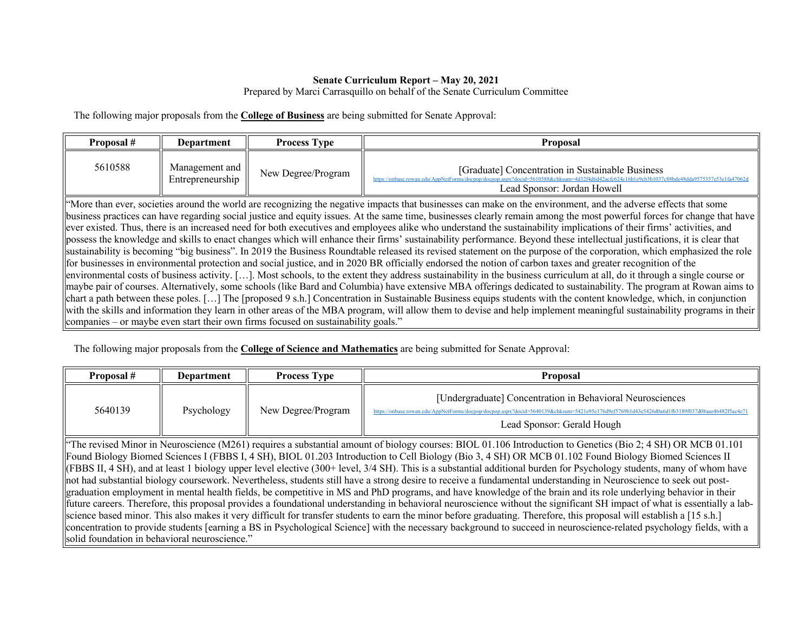## **Senate Curriculum Report – May 20, 2021**

## Prepared by Marci Carrasquillo on behalf of the Senate Curriculum Committee

The following major proposals from the **College of Business** are being submitted for Senate Approval:

| Proposal #                                                                                                                                                                                                                                                                                                                                                                                                                                                                                                                                                                                                                                                                                                                                                                                                                                                                                                                                                                                                                                                                                                                                                                                                                                                                                                                                                                                                                                                                                                                                                                                                                                                                                                                                                                                                                       | <b>Department</b>                  | <b>Process Type</b> | <b>Proposal</b>                                                                                                                               |  |  |
|----------------------------------------------------------------------------------------------------------------------------------------------------------------------------------------------------------------------------------------------------------------------------------------------------------------------------------------------------------------------------------------------------------------------------------------------------------------------------------------------------------------------------------------------------------------------------------------------------------------------------------------------------------------------------------------------------------------------------------------------------------------------------------------------------------------------------------------------------------------------------------------------------------------------------------------------------------------------------------------------------------------------------------------------------------------------------------------------------------------------------------------------------------------------------------------------------------------------------------------------------------------------------------------------------------------------------------------------------------------------------------------------------------------------------------------------------------------------------------------------------------------------------------------------------------------------------------------------------------------------------------------------------------------------------------------------------------------------------------------------------------------------------------------------------------------------------------|------------------------------------|---------------------|-----------------------------------------------------------------------------------------------------------------------------------------------|--|--|
| 5610588                                                                                                                                                                                                                                                                                                                                                                                                                                                                                                                                                                                                                                                                                                                                                                                                                                                                                                                                                                                                                                                                                                                                                                                                                                                                                                                                                                                                                                                                                                                                                                                                                                                                                                                                                                                                                          | Management and<br>Entrepreneurship | New Degree/Program  | [Graduate] Concentration in Sustainable Business<br>https://onbase.rowan.edu/AppNetForms/docpop/docpon.aspx?de<br>Lead Sponsor: Jordan Howell |  |  |
| "More than ever, societies around the world are recognizing the negative impacts that businesses can make on the environment, and the adverse effects that some<br>business practices can have regarding social justice and equity issues. At the same time, businesses clearly remain among the most powerful forces for change that have<br>ever existed. Thus, there is an increased need for both executives and employees alike who understand the sustainability implications of their firms' activities, and<br>possess the knowledge and skills to enact changes which will enhance their firms' sustainability performance. Beyond these intellectual justifications, it is clear that<br>sustainability is becoming "big business". In 2019 the Business Roundtable released its revised statement on the purpose of the corporation, which emphasized the role<br>for businesses in environmental protection and social justice, and in 2020 BR officially endorsed the notion of carbon taxes and greater recognition of the<br>environmental costs of business activity. []. Most schools, to the extent they address sustainability in the business curriculum at all, do it through a single course or<br>maybe pair of courses. Alternatively, some schools (like Bard and Columbia) have extensive MBA offerings dedicated to sustainability. The program at Rowan aims to<br>chart a path between these poles. [] The [proposed 9 s.h.] Concentration in Sustainable Business equips students with the content knowledge, which, in conjunction<br>with the skills and information they learn in other areas of the MBA program, will allow them to devise and help implement meaningful sustainability programs in their<br>companies – or maybe even start their own firms focused on sustainability goals." |                                    |                     |                                                                                                                                               |  |  |

The following major proposals from the **College of Science and Mathematics** are being submitted for Senate Approval:

| Proposal #                                                                                                                                                                | Department | <b>Process Type</b> | Proposal                                                                                                                                                                                                                                 |  |  |
|---------------------------------------------------------------------------------------------------------------------------------------------------------------------------|------------|---------------------|------------------------------------------------------------------------------------------------------------------------------------------------------------------------------------------------------------------------------------------|--|--|
| 5640139                                                                                                                                                                   | Psychology | New Degree/Program  | [Undergraduate] Concentration in Behavioral Neurosciences<br>https://onbase.rowan.edu/AppNetForms/docpop/docpop.aspx?docid=5640139&chksum=5421e95e176d9ef5769b1d43e5426d0a6d1fb3189f037d08aae46482f5ac4e71<br>Lead Sponsor: Gerald Hough |  |  |
| "The revised Minor in Neuroscience (M261) requires a substantial amount of biology courses: BIOL 01.106 Introduction to Genetics (Bio 2; 4 SH) OR MCB 01.101              |            |                     |                                                                                                                                                                                                                                          |  |  |
| Found Biology Biomed Sciences I (FBBS I, 4 SH), BIOL 01.203 Introduction to Cell Biology (Bio 3, 4 SH) OR MCB 01.102 Found Biology Biomed Sciences II                     |            |                     |                                                                                                                                                                                                                                          |  |  |
| (FBBS II, 4 SH), and at least 1 biology upper level elective (300+ level, 3/4 SH). This is a substantial additional burden for Psychology students, many of whom have     |            |                     |                                                                                                                                                                                                                                          |  |  |
| not had substantial biology coursework. Nevertheless, students still have a strong desire to receive a fundamental understanding in Neuroscience to seek out post-        |            |                     |                                                                                                                                                                                                                                          |  |  |
| graduation employment in mental health fields, be competitive in MS and PhD programs, and have knowledge of the brain and its role underlying behavior in their           |            |                     |                                                                                                                                                                                                                                          |  |  |
| future careers. Therefore, this proposal provides a foundational understanding in behavioral neuroscience without the significant SH impact of what is essentially a lab- |            |                     |                                                                                                                                                                                                                                          |  |  |
| science based minor. This also makes it very difficult for transfer students to earn the minor before graduating. Therefore, this proposal will establish a [15 s.h.]     |            |                     |                                                                                                                                                                                                                                          |  |  |

concentration to provide students [earning a BS in Psychological Science] with the necessary background to succeed in neuroscience-related psychology fields, with a solid foundation in behavioral neuroscience."